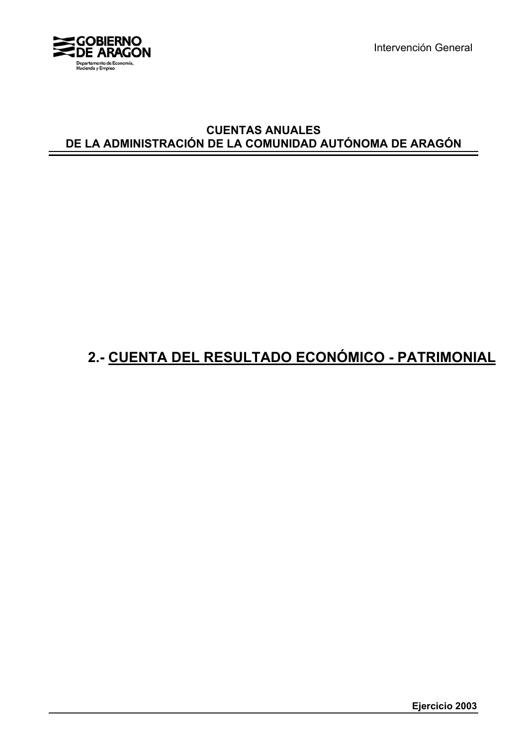

Intervención General

## **CUENTAS ANUALES DE LA ADMINISTRACIÓN DE LA COMUNIDAD AUTÓNOMA DE ARAGÓN**

## **2.- CUENTA DEL RESULTADO ECONÓMICO - PATRIMONIAL**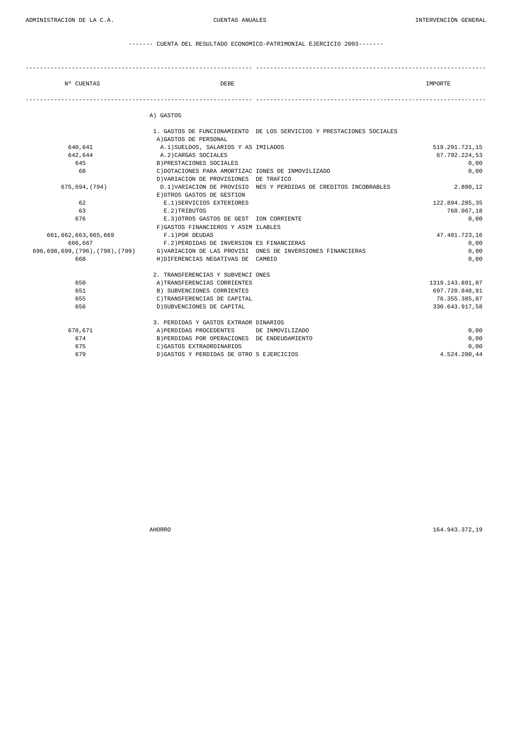------- CUENTA DEL RESULTADO ECONOMICO-PATRIMONIAL EJERCICIO 2003-------

| N° CUENTAS | DEBE      | IMPORTE |
|------------|-----------|---------|
|            | A) GASTOS |         |

|                     | 1. GASTOS DE FUNCIONAMIENTO DE LOS SERVICIOS Y PRESTACIONES SOCIALES                          |                 |
|---------------------|-----------------------------------------------------------------------------------------------|-----------------|
|                     | A) GASTOS DE PERSONAL                                                                         |                 |
| 640,641             | A.1) SUELDOS, SALARIOS Y AS IMILADOS                                                          | 519.291.721,15  |
| 642,644             | A.2) CARGAS SOCIALES                                                                          | 67.792.224,53   |
| 645                 | B) PRESTACIONES SOCIALES                                                                      | 0,00            |
| 68                  | C) DOTACIONES PARA AMORTIZAC IONES DE INMOVILIZADO                                            | 0,00            |
|                     | D) VARIACION DE PROVISIONES DE TRAFICO                                                        |                 |
| 675,694,(794)       | D.1) VARIACION DE PROVISIO NES Y PERDIDAS DE CREDITOS INCOBRABLES                             | 2.880,12        |
|                     | E) OTROS GASTOS DE GESTION                                                                    |                 |
| 62                  | E.1) SERVICIOS EXTERIORES                                                                     | 122.894.285,35  |
| 63                  | E.2)TRIBUTOS                                                                                  | 768.067.18      |
| 676                 | E.3) OTROS GASTOS DE GEST ION CORRIENTE                                                       | 0,00            |
|                     | F) GASTOS FINANCIEROS Y ASIM ILABLES                                                          |                 |
| 661,662,663,665,669 | F.1) POR DEUDAS                                                                               | 47.401.723,16   |
| 666,667             | F.2) PERDIDAS DE INVERSION ES FINANCIERAS                                                     | 0,00            |
|                     | 696,698,699,(796),(798),(799)     G)VARIACION DE LAS PROVISI  ONES DE INVERSIONES FINANCIERAS | 0,00            |
| 668                 | H) DIFERENCIAS NEGATIVAS DE CAMBIO                                                            | 0,00            |
|                     | 2. TRANSFERENCIAS Y SUBVENCI ONES                                                             |                 |
| 650                 | A) TRANSFERENCIAS CORRIENTES                                                                  | 1319.143.891,87 |
| 651                 | B) SUBVENCIONES CORRIENTES                                                                    | 697.720.848,91  |
| 655                 | C) TRANSFERENCIAS DE CAPITAL                                                                  | 76.355.385,87   |
| 656                 | D) SUBVENCIONES DE CAPITAL                                                                    | 330.643.917.58  |
|                     | 3. PERDIDAS Y GASTOS EXTRAOR DINARIOS                                                         |                 |
| 670,671             | A) PERDIDAS PROCEDENTES<br>DE INMOVILIZADO                                                    | 0,00            |
| 674                 | B) PERDIDAS POR OPERACIONES DE ENDEUDAMIENTO                                                  | 0,00            |
| 675                 | C) GASTOS EXTRAORDINARIOS                                                                     | 0,00            |
| 679                 | D) GASTOS Y PERDIDAS DE OTRO S EJERCICIOS                                                     | 4.524.200.44    |

AHORRO 164.943.372,19